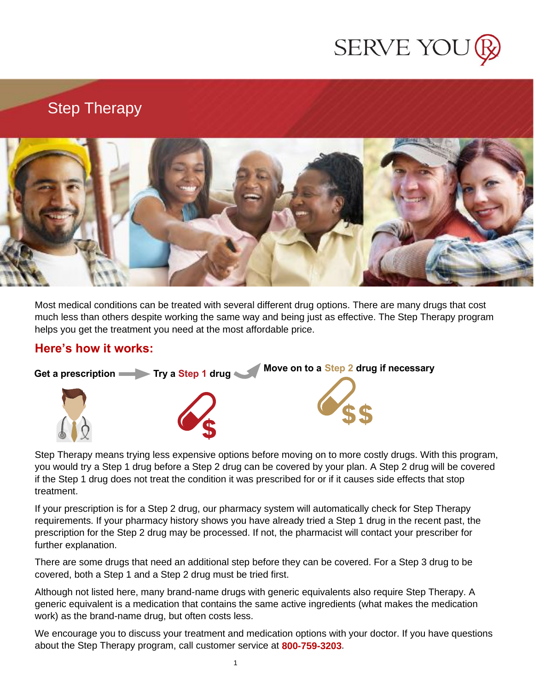

#### Step Therapy



Most medical conditions can be treated with several different drug options. There are many drugs that cost much less than others despite working the same way and being just as effective. The Step Therapy program helps you get the treatment you need at the most affordable price.

#### **Here's how it works:**



Step Therapy means trying less expensive options before moving on to more costly drugs. With this program, you would try a Step 1 drug before a Step 2 drug can be covered by your plan. A Step 2 drug will be covered if the Step 1 drug does not treat the condition it was prescribed for or if it causes side effects that stop treatment.

If your prescription is for a Step 2 drug, our pharmacy system will automatically check for Step Therapy requirements. If your pharmacy history shows you have already tried a Step 1 drug in the recent past, the prescription for the Step 2 drug may be processed. If not, the pharmacist will contact your prescriber for further explanation.

There are some drugs that need an additional step before they can be covered. For a Step 3 drug to be covered, both a Step 1 and a Step 2 drug must be tried first.

Although not listed here, many brand-name drugs with generic equivalents also require Step Therapy. A generic equivalent is a medication that contains the same active ingredients (what makes the medication work) as the brand-name drug, but often costs less.

We encourage you to discuss your treatment and medication options with your doctor. If you have questions about the Step Therapy program, call customer service at **800-759-3203**.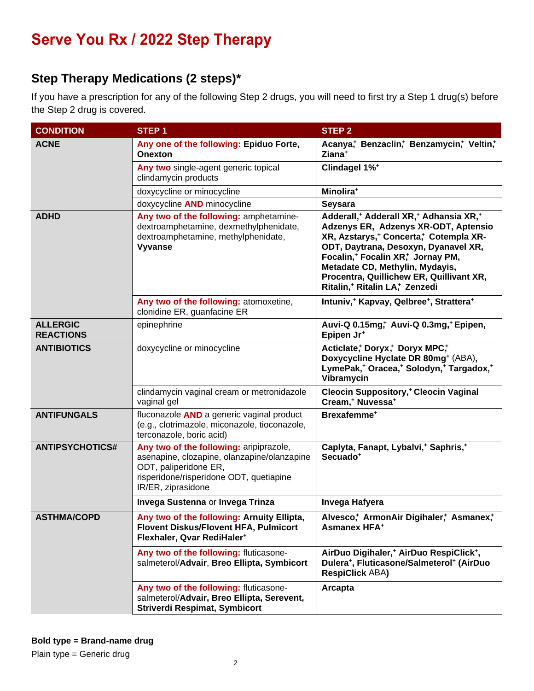#### **Step Therapy Medications (2 steps)\***

If you have a prescription for any of the following Step 2 drugs, you will need to first try a Step 1 drug(s) before the Step 2 drug is covered.

| <b>CONDITION</b>                    | STEP <sub>1</sub>                                                                                                                                                                | <b>STEP 2</b>                                                                                                                                                                                                                                                                                                                                                                                 |  |
|-------------------------------------|----------------------------------------------------------------------------------------------------------------------------------------------------------------------------------|-----------------------------------------------------------------------------------------------------------------------------------------------------------------------------------------------------------------------------------------------------------------------------------------------------------------------------------------------------------------------------------------------|--|
| <b>ACNE</b>                         | Any one of the following: Epiduo Forte,<br>Onexton                                                                                                                               | Acanya, Benzaclin, Benzamycin, Veltin,<br>Ziana <sup>+</sup>                                                                                                                                                                                                                                                                                                                                  |  |
|                                     | Any two single-agent generic topical<br>clindamycin products                                                                                                                     | Clindagel 1% <sup>+</sup>                                                                                                                                                                                                                                                                                                                                                                     |  |
|                                     | doxycycline or minocycline                                                                                                                                                       | Minolira <sup>+</sup>                                                                                                                                                                                                                                                                                                                                                                         |  |
|                                     | doxycycline AND minocycline                                                                                                                                                      | <b>Seysara</b>                                                                                                                                                                                                                                                                                                                                                                                |  |
| <b>ADHD</b>                         | Any two of the following: amphetamine-<br>dextroamphetamine, dexmethylphenidate,<br>dextroamphetamine, methylphenidate,<br>Vyvanse                                               | Adderall, <sup>+</sup> Adderall XR, <sup>+</sup> Adhansia XR, <sup>+</sup><br>Adzenys ER, Adzenys XR-ODT, Aptensio<br>XR, Azstarys, <sup>+</sup> Concerta, Cotempla XR-<br>ODT, Daytrana, Desoxyn, Dyanavel XR,<br>Focalin, <sup>+</sup> Focalin XR,+ Jornay PM,<br>Metadate CD, Methylin, Mydayis,<br>Procentra, Quillichew ER, Quillivant XR,<br>Ritalin, <sup>+</sup> Ritalin LA,+ Zenzedi |  |
|                                     | Any two of the following: atomoxetine,<br>clonidine ER, guanfacine ER                                                                                                            | Intuniv, <sup>+</sup> Kapvay, Qelbree <sup>+</sup> , Strattera <sup>+</sup>                                                                                                                                                                                                                                                                                                                   |  |
| <b>ALLERGIC</b><br><b>REACTIONS</b> | epinephrine                                                                                                                                                                      | Auvi-Q 0.15mg, Auvi-Q 0.3mg, Epipen,<br>Epipen Jr <sup>+</sup>                                                                                                                                                                                                                                                                                                                                |  |
| <b>ANTIBIOTICS</b>                  | doxycycline or minocycline                                                                                                                                                       | Acticlate, Doryx, Doryx MPC,<br>Doxycycline Hyclate DR 80mg <sup>+</sup> (ABA),<br>LymePak, <sup>+</sup> Oracea, <sup>+</sup> Solodyn, <sup>+</sup> Targadox, <sup>+</sup><br>Vibramycin                                                                                                                                                                                                      |  |
|                                     | clindamycin vaginal cream or metronidazole<br>vaginal gel                                                                                                                        | <b>Cleocin Suppository, * Cleocin Vaginal</b><br>Cream, <sup>+</sup> Nuvessa <sup>+</sup>                                                                                                                                                                                                                                                                                                     |  |
| <b>ANTIFUNGALS</b>                  | fluconazole AND a generic vaginal product<br>(e.g., clotrimazole, miconazole, tioconazole,<br>terconazole, boric acid)                                                           | Brexafemme <sup>+</sup>                                                                                                                                                                                                                                                                                                                                                                       |  |
| <b>ANTIPSYCHOTICS#</b>              | Any two of the following: aripiprazole,<br>asenapine, clozapine, olanzapine/olanzapine<br>ODT, paliperidone ER,<br>risperidone/risperidone ODT, quetiapine<br>IR/ER, ziprasidone | Caplyta, Fanapt, Lybalvi, <sup>+</sup> Saphris, <sup>+</sup><br>Secuado <sup>+</sup>                                                                                                                                                                                                                                                                                                          |  |
|                                     | Invega Sustenna or Invega Trinza                                                                                                                                                 | Invega Hafyera                                                                                                                                                                                                                                                                                                                                                                                |  |
| <b>ASTHMA/COPD</b>                  | Any two of the following: Arnuity Ellipta,<br><b>Flovent Diskus/Flovent HFA, Pulmicort</b><br>Flexhaler, Qvar RediHaler <sup>+</sup>                                             | Alvesco, ArmonAir Digihaler, Asmanex,<br><b>Asmanex HFA+</b>                                                                                                                                                                                                                                                                                                                                  |  |
|                                     | Any two of the following: fluticasone-<br>salmeterol/Advair, Breo Ellipta, Symbicort                                                                                             | AirDuo Digihaler, <sup>+</sup> AirDuo RespiClick <sup>+</sup> ,<br>Dulera <sup>+</sup> , Fluticasone/Salmeterol <sup>+</sup> (AirDuo<br><b>RespiClick ABA)</b>                                                                                                                                                                                                                                |  |
|                                     | Any two of the following: fluticasone-<br>salmeterol/Advair, Breo Ellipta, Serevent,<br>Striverdi Respimat, Symbicort                                                            | Arcapta                                                                                                                                                                                                                                                                                                                                                                                       |  |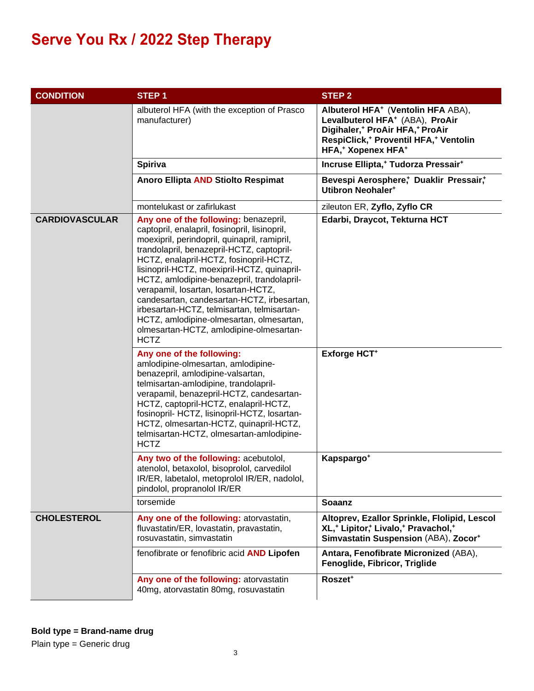| <b>CONDITION</b>      | <b>STEP1</b>                                                                                                                                                                                                                                                                                                                                                                                                                                                                                                                                                        | <b>STEP 2</b>                                                                                                                                                                                                                                   |  |
|-----------------------|---------------------------------------------------------------------------------------------------------------------------------------------------------------------------------------------------------------------------------------------------------------------------------------------------------------------------------------------------------------------------------------------------------------------------------------------------------------------------------------------------------------------------------------------------------------------|-------------------------------------------------------------------------------------------------------------------------------------------------------------------------------------------------------------------------------------------------|--|
|                       | albuterol HFA (with the exception of Prasco<br>manufacturer)                                                                                                                                                                                                                                                                                                                                                                                                                                                                                                        | Albuterol HFA <sup>+</sup> (Ventolin HFA ABA),<br>Levalbuterol HFA <sup>+</sup> (ABA), ProAir<br>Digihaler, <sup>+</sup> ProAir HFA, <sup>+</sup> ProAir<br>RespiClick, <sup>+</sup> Proventil HFA, <sup>+</sup> Ventolin<br>HFA,* Xopenex HFA* |  |
|                       | Spiriva                                                                                                                                                                                                                                                                                                                                                                                                                                                                                                                                                             | Incruse Ellipta, <sup>+</sup> Tudorza Pressair <sup>+</sup>                                                                                                                                                                                     |  |
|                       | Anoro Ellipta AND Stiolto Respimat                                                                                                                                                                                                                                                                                                                                                                                                                                                                                                                                  | Bevespi Aerosphere, Duaklir Pressair,+<br><b>Utibron Neohaler<sup>+</sup></b>                                                                                                                                                                   |  |
|                       | montelukast or zafirlukast                                                                                                                                                                                                                                                                                                                                                                                                                                                                                                                                          | zileuton ER, Zyflo, Zyflo CR                                                                                                                                                                                                                    |  |
| <b>CARDIOVASCULAR</b> | Any one of the following: benazepril,<br>captopril, enalapril, fosinopril, lisinopril,<br>moexipril, perindopril, quinapril, ramipril,<br>trandolapril, benazepril-HCTZ, captopril-<br>HCTZ, enalapril-HCTZ, fosinopril-HCTZ,<br>lisinopril-HCTZ, moexipril-HCTZ, quinapril-<br>HCTZ, amlodipine-benazepril, trandolapril-<br>verapamil, losartan, losartan-HCTZ,<br>candesartan, candesartan-HCTZ, irbesartan,<br>irbesartan-HCTZ, telmisartan, telmisartan-<br>HCTZ, amlodipine-olmesartan, olmesartan,<br>olmesartan-HCTZ, amlodipine-olmesartan-<br><b>HCTZ</b> | Edarbi, Draycot, Tekturna HCT                                                                                                                                                                                                                   |  |
|                       | Any one of the following:<br>amlodipine-olmesartan, amlodipine-<br>benazepril, amlodipine-valsartan,<br>telmisartan-amlodipine, trandolapril-<br>verapamil, benazepril-HCTZ, candesartan-<br>HCTZ, captopril-HCTZ, enalapril-HCTZ,<br>fosinopril- HCTZ, lisinopril-HCTZ, losartan-<br>HCTZ, olmesartan-HCTZ, quinapril-HCTZ,<br>telmisartan-HCTZ, olmesartan-amlodipine-<br><b>HCTZ</b>                                                                                                                                                                             | Exforge HCT <sup>+</sup>                                                                                                                                                                                                                        |  |
|                       | Any two of the following: acebutolol,<br>atenolol, betaxolol, bisoprolol, carvedilol<br>IR/ER, labetalol, metoprolol IR/ER, nadolol,<br>pindolol, propranolol IR/ER                                                                                                                                                                                                                                                                                                                                                                                                 | Kapspargo <sup>+</sup>                                                                                                                                                                                                                          |  |
|                       | torsemide                                                                                                                                                                                                                                                                                                                                                                                                                                                                                                                                                           | <b>Soaanz</b>                                                                                                                                                                                                                                   |  |
| <b>CHOLESTEROL</b>    | Any one of the following: atorvastatin,<br>fluvastatin/ER, lovastatin, pravastatin,<br>rosuvastatin, simvastatin                                                                                                                                                                                                                                                                                                                                                                                                                                                    | Altoprev, Ezallor Sprinkle, Flolipid, Lescol<br>XL, <sup>+</sup> Lipitor, <sup>+</sup> Livalo, <sup>+</sup> Pravachol, <sup>+</sup><br>Simvastatin Suspension (ABA), Zocor <sup>+</sup>                                                         |  |
|                       | fenofibrate or fenofibric acid AND Lipofen                                                                                                                                                                                                                                                                                                                                                                                                                                                                                                                          | Antara, Fenofibrate Micronized (ABA),<br>Fenoglide, Fibricor, Triglide                                                                                                                                                                          |  |
|                       | Any one of the following: atorvastatin<br>40mg, atorvastatin 80mg, rosuvastatin                                                                                                                                                                                                                                                                                                                                                                                                                                                                                     | Roszet <sup>+</sup>                                                                                                                                                                                                                             |  |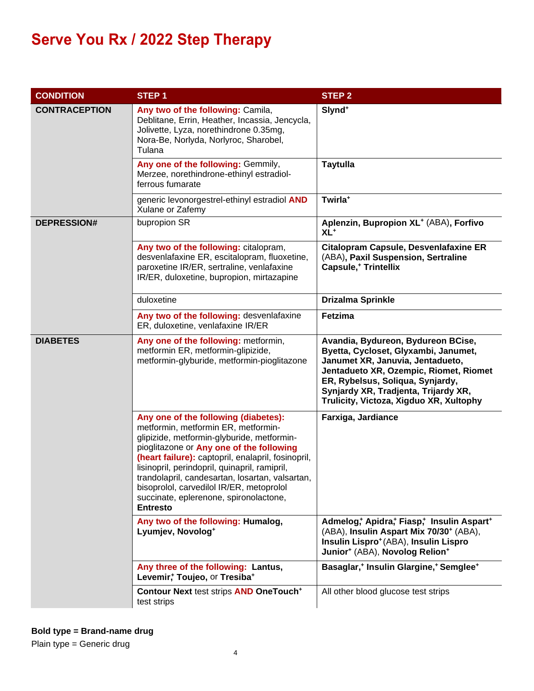| <b>CONDITION</b>     | STEP <sub>1</sub>                                                                                                                                                                                                                                                                                                                                                                                                                        | <b>STEP 2</b>                                                                                                                                                                                                                                                                   |  |
|----------------------|------------------------------------------------------------------------------------------------------------------------------------------------------------------------------------------------------------------------------------------------------------------------------------------------------------------------------------------------------------------------------------------------------------------------------------------|---------------------------------------------------------------------------------------------------------------------------------------------------------------------------------------------------------------------------------------------------------------------------------|--|
| <b>CONTRACEPTION</b> | Any two of the following: Camila,<br>Deblitane, Errin, Heather, Incassia, Jencycla,<br>Jolivette, Lyza, norethindrone 0.35mg,<br>Nora-Be, Norlyda, Norlyroc, Sharobel,<br>Tulana                                                                                                                                                                                                                                                         | Slynd <sup>+</sup>                                                                                                                                                                                                                                                              |  |
|                      | Any one of the following: Gemmily,<br>Merzee, norethindrone-ethinyl estradiol-<br>ferrous fumarate                                                                                                                                                                                                                                                                                                                                       | <b>Taytulla</b>                                                                                                                                                                                                                                                                 |  |
|                      | generic levonorgestrel-ethinyl estradiol AND<br>Xulane or Zafemy                                                                                                                                                                                                                                                                                                                                                                         | Twirla <sup>+</sup>                                                                                                                                                                                                                                                             |  |
| <b>DEPRESSION#</b>   | bupropion SR                                                                                                                                                                                                                                                                                                                                                                                                                             | Aplenzin, Bupropion XL <sup>+</sup> (ABA), Forfivo<br>$XL^+$                                                                                                                                                                                                                    |  |
|                      | Any two of the following: citalopram,<br>desvenlafaxine ER, escitalopram, fluoxetine,<br>paroxetine IR/ER, sertraline, venlafaxine<br>IR/ER, duloxetine, bupropion, mirtazapine                                                                                                                                                                                                                                                          | <b>Citalopram Capsule, Desvenlafaxine ER</b><br>(ABA), Paxil Suspension, Sertraline<br><b>Capsule,<sup>+</sup> Trintellix</b>                                                                                                                                                   |  |
|                      | duloxetine                                                                                                                                                                                                                                                                                                                                                                                                                               | <b>Drizalma Sprinkle</b>                                                                                                                                                                                                                                                        |  |
|                      | Any two of the following: desvenlafaxine<br>ER, duloxetine, venlafaxine IR/ER                                                                                                                                                                                                                                                                                                                                                            | Fetzima                                                                                                                                                                                                                                                                         |  |
| <b>DIABETES</b>      | Any one of the following: metformin,<br>metformin ER, metformin-glipizide,<br>metformin-glyburide, metformin-pioglitazone                                                                                                                                                                                                                                                                                                                | Avandia, Bydureon, Bydureon BCise,<br>Byetta, Cycloset, Glyxambi, Janumet,<br>Janumet XR, Januvia, Jentadueto,<br>Jentadueto XR, Ozempic, Riomet, Riomet<br>ER, Rybelsus, Soliqua, Synjardy,<br>Synjardy XR, Tradjenta, Trijardy XR,<br>Trulicity, Victoza, Xigduo XR, Xultophy |  |
|                      | Any one of the following (diabetes):<br>metformin, metformin ER, metformin-<br>glipizide, metformin-glyburide, metformin-<br>pioglitazone or Any one of the following<br>(heart failure): captopril, enalapril, fosinopril,<br>lisinopril, perindopril, quinapril, ramipril,<br>trandolapril, candesartan, losartan, valsartan,<br>bisoprolol, carvedilol IR/ER, metoprolol<br>succinate, eplerenone, spironolactone,<br><b>Entresto</b> | Farxiga, Jardiance                                                                                                                                                                                                                                                              |  |
|                      | Any two of the following: Humalog,<br>Lyumjev, Novolog <sup>+</sup>                                                                                                                                                                                                                                                                                                                                                                      | Admelog, Apidra, Fiasp, Insulin Aspart+<br>(ABA), Insulin Aspart Mix 70/30 <sup>+</sup> (ABA),<br>Insulin Lispro <sup>+</sup> (ABA), Insulin Lispro<br>Junior* (ABA), Novolog Relion*                                                                                           |  |
|                      | Any three of the following: Lantus,<br>Levemir, Toujeo, or Tresiba+                                                                                                                                                                                                                                                                                                                                                                      | Basaglar, <sup>+</sup> Insulin Glargine, <sup>+</sup> Semglee <sup>+</sup>                                                                                                                                                                                                      |  |
|                      | Contour Next test strips AND OneTouch <sup>+</sup><br>test strips                                                                                                                                                                                                                                                                                                                                                                        | All other blood glucose test strips                                                                                                                                                                                                                                             |  |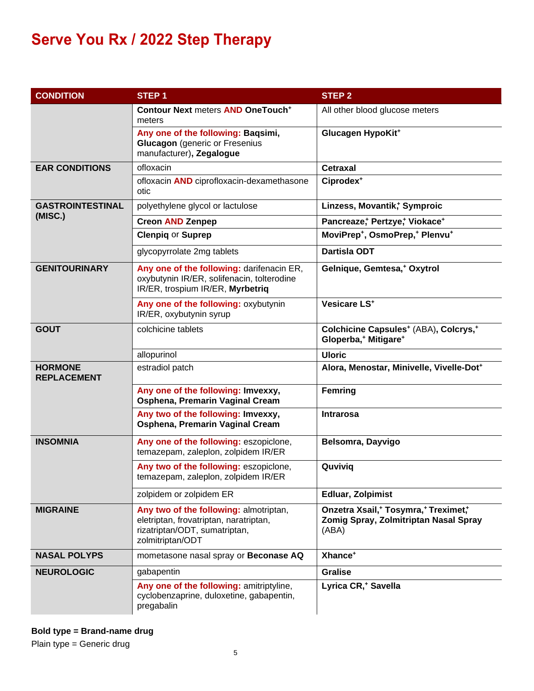| <b>CONDITION</b>                     | <b>STEP1</b>                                                                                                                          | <b>STEP 2</b>                                                                                                  |  |
|--------------------------------------|---------------------------------------------------------------------------------------------------------------------------------------|----------------------------------------------------------------------------------------------------------------|--|
|                                      | <b>Contour Next meters AND OneTouch<sup>+</sup></b><br>meters                                                                         | All other blood glucose meters                                                                                 |  |
|                                      | Any one of the following: Baqsimi,<br><b>Glucagon</b> (generic or Fresenius<br>manufacturer), Zegalogue                               | Glucagen HypoKit <sup>+</sup>                                                                                  |  |
| <b>EAR CONDITIONS</b>                | ofloxacin                                                                                                                             | Cetraxal<br>Ciprodex <sup>+</sup>                                                                              |  |
|                                      | ofloxacin <b>AND</b> ciprofloxacin-dexamethasone<br>otic                                                                              |                                                                                                                |  |
| <b>GASTROINTESTINAL</b>              | polyethylene glycol or lactulose                                                                                                      | Linzess, Movantik, Symproic                                                                                    |  |
| (MISC.)                              | <b>Creon AND Zenpep</b>                                                                                                               | Pancreaze; Pertzye; Viokace+                                                                                   |  |
|                                      | <b>Clenpig or Suprep</b>                                                                                                              | MoviPrep <sup>+</sup> , OsmoPrep, <sup>+</sup> Plenvu <sup>+</sup>                                             |  |
|                                      | glycopyrrolate 2mg tablets                                                                                                            | <b>Dartisla ODT</b>                                                                                            |  |
| <b>GENITOURINARY</b>                 | Any one of the following: darifenacin ER,<br>oxybutynin IR/ER, solifenacin, tolterodine<br>IR/ER, trospium IR/ER, Myrbetriq           | Gelnique, Gemtesa, <sup>+</sup> Oxytrol                                                                        |  |
|                                      | Any one of the following: oxybutynin<br>IR/ER, oxybutynin syrup                                                                       | Vesicare LS <sup>+</sup>                                                                                       |  |
| <b>GOUT</b>                          | colchicine tablets                                                                                                                    | Colchicine Capsules <sup>+</sup> (ABA), Colcrys, <sup>+</sup><br>Gloperba, <sup>+</sup> Mitigare <sup>+</sup>  |  |
|                                      | allopurinol                                                                                                                           | <b>Uloric</b>                                                                                                  |  |
| <b>HORMONE</b><br><b>REPLACEMENT</b> | estradiol patch                                                                                                                       | Alora, Menostar, Minivelle, Vivelle-Dot <sup>+</sup>                                                           |  |
|                                      | Any one of the following: Imvexxy,<br>Osphena, Premarin Vaginal Cream                                                                 | <b>Femring</b>                                                                                                 |  |
|                                      | Any two of the following: Imvexxy,<br>Osphena, Premarin Vaginal Cream                                                                 | <b>Intrarosa</b>                                                                                               |  |
| <b>INSOMNIA</b>                      | Any one of the following: eszopiclone,<br>temazepam, zaleplon, zolpidem IR/ER                                                         | Belsomra, Dayvigo                                                                                              |  |
|                                      | Any two of the following: eszopiclone,<br>temazepam, zaleplon, zolpidem IR/ER                                                         | Quviviq                                                                                                        |  |
|                                      | zolpidem or zolpidem ER                                                                                                               | <b>Edluar, Zolpimist</b>                                                                                       |  |
| <b>MIGRAINE</b>                      | Any two of the following: almotriptan,<br>eletriptan, frovatriptan, naratriptan,<br>rizatriptan/ODT, sumatriptan,<br>zolmitriptan/ODT | Onzetra Xsail, <sup>+</sup> Tosymra, <sup>+</sup> Treximet,*<br>Zomig Spray, Zolmitriptan Nasal Spray<br>(ABA) |  |
| <b>NASAL POLYPS</b>                  | mometasone nasal spray or Beconase AQ                                                                                                 | Xhance <sup>+</sup>                                                                                            |  |
| <b>NEUROLOGIC</b>                    | gabapentin                                                                                                                            | <b>Gralise</b>                                                                                                 |  |
|                                      | Any one of the following: amitriptyline,<br>cyclobenzaprine, duloxetine, gabapentin,<br>pregabalin                                    | Lyrica CR, <sup>+</sup> Savella                                                                                |  |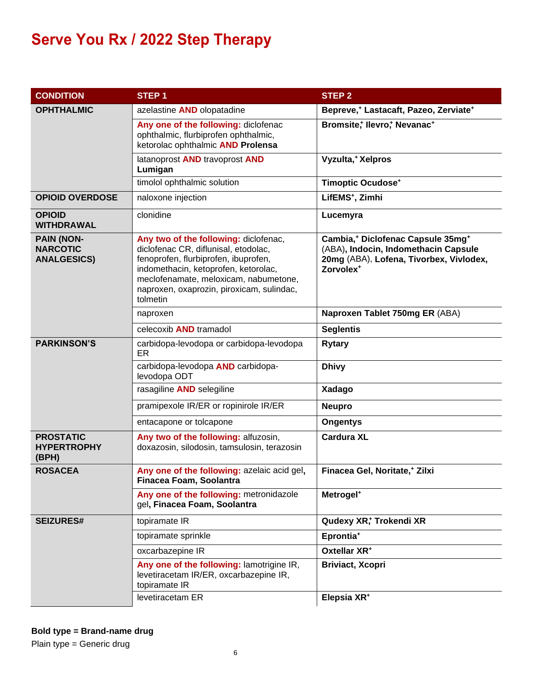| <b>CONDITION</b>                                           | <b>STEP1</b>                                                                                                                                                                                                                                                    | STEP <sub>2</sub>                                                                                                                                                     |  |
|------------------------------------------------------------|-----------------------------------------------------------------------------------------------------------------------------------------------------------------------------------------------------------------------------------------------------------------|-----------------------------------------------------------------------------------------------------------------------------------------------------------------------|--|
| <b>OPHTHALMIC</b>                                          | azelastine AND olopatadine                                                                                                                                                                                                                                      | Bepreve, <sup>+</sup> Lastacaft, Pazeo, Zerviate <sup>+</sup>                                                                                                         |  |
|                                                            | Any one of the following: diclofenac<br>ophthalmic, flurbiprofen ophthalmic,<br>ketorolac ophthalmic AND Prolensa                                                                                                                                               | Bromsite, Ilevro, Nevanac+                                                                                                                                            |  |
|                                                            | latanoprost AND travoprost AND<br>Lumigan                                                                                                                                                                                                                       | Vyzulta, <sup>+</sup> Xelpros                                                                                                                                         |  |
|                                                            | timolol ophthalmic solution                                                                                                                                                                                                                                     | <b>Timoptic Ocudose*</b>                                                                                                                                              |  |
| <b>OPIOID OVERDOSE</b>                                     | naloxone injection                                                                                                                                                                                                                                              | LifEMS <sup>+</sup> , Zimhi                                                                                                                                           |  |
| <b>OPIOID</b><br><b>WITHDRAWAL</b>                         | clonidine                                                                                                                                                                                                                                                       | Lucemyra                                                                                                                                                              |  |
| <b>PAIN (NON-</b><br><b>NARCOTIC</b><br><b>ANALGESICS)</b> | Any two of the following: diclofenac,<br>diclofenac CR, diflunisal, etodolac,<br>fenoprofen, flurbiprofen, ibuprofen,<br>indomethacin, ketoprofen, ketorolac,<br>meclofenamate, meloxicam, nabumetone,<br>naproxen, oxaprozin, piroxicam, sulindac,<br>tolmetin | Cambia, <sup>+</sup> Diclofenac Capsule 35mg <sup>+</sup><br>(ABA), Indocin, Indomethacin Capsule<br>20mg (ABA), Lofena, Tivorbex, Vivlodex,<br>Zorvolex <sup>+</sup> |  |
|                                                            | naproxen                                                                                                                                                                                                                                                        | Naproxen Tablet 750mg ER (ABA)                                                                                                                                        |  |
|                                                            | celecoxib AND tramadol                                                                                                                                                                                                                                          | <b>Seglentis</b>                                                                                                                                                      |  |
| <b>PARKINSON'S</b>                                         | carbidopa-levodopa or carbidopa-levodopa<br>ER                                                                                                                                                                                                                  | <b>Rytary</b>                                                                                                                                                         |  |
|                                                            | carbidopa-levodopa AND carbidopa-<br>levodopa ODT                                                                                                                                                                                                               | <b>Dhivy</b>                                                                                                                                                          |  |
|                                                            | rasagiline AND selegiline                                                                                                                                                                                                                                       | Xadago                                                                                                                                                                |  |
|                                                            | pramipexole IR/ER or ropinirole IR/ER                                                                                                                                                                                                                           | <b>Neupro</b>                                                                                                                                                         |  |
|                                                            | entacapone or tolcapone                                                                                                                                                                                                                                         | <b>Ongentys</b>                                                                                                                                                       |  |
| <b>PROSTATIC</b><br><b>HYPERTROPHY</b><br>(BPH)            | Any two of the following: alfuzosin,<br>doxazosin, silodosin, tamsulosin, terazosin                                                                                                                                                                             | <b>Cardura XL</b>                                                                                                                                                     |  |
| <b>ROSACEA</b>                                             | Any one of the following: azelaic acid gel,<br>Finacea Foam, Soolantra                                                                                                                                                                                          | Finacea Gel, Noritate, <sup>+</sup> Zilxi                                                                                                                             |  |
|                                                            | Any one of the following: metronidazole<br>gel, Finacea Foam, Soolantra                                                                                                                                                                                         | Metrogel <sup>+</sup>                                                                                                                                                 |  |
| <b>SEIZURES#</b>                                           | topiramate IR                                                                                                                                                                                                                                                   | Qudexy XR, Trokendi XR                                                                                                                                                |  |
|                                                            | topiramate sprinkle                                                                                                                                                                                                                                             | Eprontia <sup>+</sup>                                                                                                                                                 |  |
|                                                            | oxcarbazepine IR                                                                                                                                                                                                                                                | Oxtellar XR <sup>+</sup>                                                                                                                                              |  |
|                                                            | Any one of the following: lamotrigine IR,<br>levetiracetam IR/ER, oxcarbazepine IR,<br>topiramate IR                                                                                                                                                            | <b>Briviact, Xcopri</b>                                                                                                                                               |  |
|                                                            | levetiracetam ER                                                                                                                                                                                                                                                | Elepsia XR <sup>+</sup>                                                                                                                                               |  |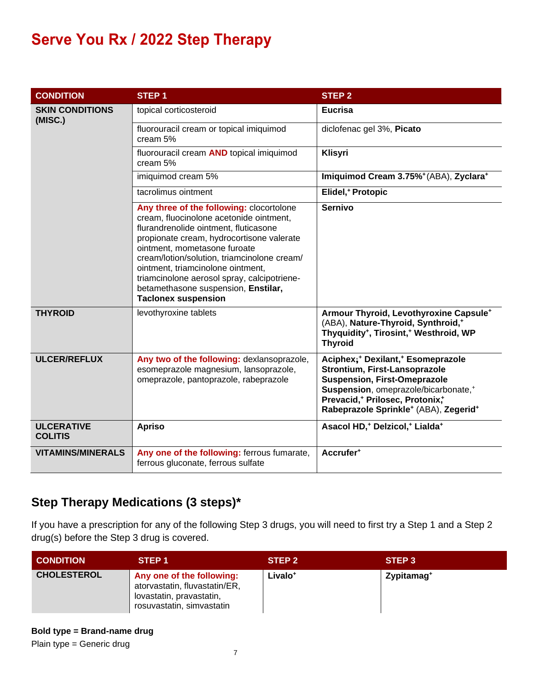| <b>CONDITION</b>                    | STEP <sub>1</sub>                                                                                                                                                                                                                                                                                                                                                                                                 | STEP <sub>2</sub>                                                                                                                                                                                                                                                                                     |  |
|-------------------------------------|-------------------------------------------------------------------------------------------------------------------------------------------------------------------------------------------------------------------------------------------------------------------------------------------------------------------------------------------------------------------------------------------------------------------|-------------------------------------------------------------------------------------------------------------------------------------------------------------------------------------------------------------------------------------------------------------------------------------------------------|--|
| <b>SKIN CONDITIONS</b><br>(MISC.)   | topical corticosteroid                                                                                                                                                                                                                                                                                                                                                                                            | <b>Eucrisa</b>                                                                                                                                                                                                                                                                                        |  |
|                                     | fluorouracil cream or topical imiquimod<br>cream 5%                                                                                                                                                                                                                                                                                                                                                               | diclofenac gel 3%, Picato                                                                                                                                                                                                                                                                             |  |
|                                     | fluorouracil cream AND topical imiquimod<br>cream 5%                                                                                                                                                                                                                                                                                                                                                              | Klisyri                                                                                                                                                                                                                                                                                               |  |
|                                     | imiquimod cream 5%                                                                                                                                                                                                                                                                                                                                                                                                | Imiquimod Cream 3.75%+(ABA), Zyclara+                                                                                                                                                                                                                                                                 |  |
|                                     | tacrolimus ointment                                                                                                                                                                                                                                                                                                                                                                                               | Elidel, <sup>+</sup> Protopic                                                                                                                                                                                                                                                                         |  |
|                                     | Any three of the following: clocortolone<br>cream, fluocinolone acetonide ointment,<br>flurandrenolide ointment, fluticasone<br>propionate cream, hydrocortisone valerate<br>ointment, mometasone furoate<br>cream/lotion/solution, triamcinolone cream/<br>ointment, triamcinolone ointment,<br>triamcinolone aerosol spray, calcipotriene-<br>betamethasone suspension, Enstilar,<br><b>Taclonex suspension</b> | <b>Sernivo</b>                                                                                                                                                                                                                                                                                        |  |
| <b>THYROID</b>                      | levothyroxine tablets                                                                                                                                                                                                                                                                                                                                                                                             | Armour Thyroid, Levothyroxine Capsule <sup>+</sup><br>(ABA), Nature-Thyroid, Synthroid,*<br>Thyquidity <sup>+</sup> , Tirosint, <sup>+</sup> Westhroid, WP<br><b>Thyroid</b>                                                                                                                          |  |
| <b>ULCER/REFLUX</b>                 | Any two of the following: dexlansoprazole,<br>esomeprazole magnesium, lansoprazole,<br>omeprazole, pantoprazole, rabeprazole                                                                                                                                                                                                                                                                                      | Aciphex; <sup>+</sup> Dexilant, <sup>+</sup> Esomeprazole<br>Strontium, First-Lansoprazole<br><b>Suspension, First-Omeprazole</b><br>Suspension, omeprazole/bicarbonate, <sup>+</sup><br>Prevacid, <sup>+</sup> Prilosec, Protonix,+<br>Rabeprazole Sprinkle <sup>+</sup> (ABA), Zegerid <sup>+</sup> |  |
| <b>ULCERATIVE</b><br><b>COLITIS</b> | <b>Apriso</b>                                                                                                                                                                                                                                                                                                                                                                                                     | Asacol HD, <sup>+</sup> Delzicol, <sup>+</sup> Lialda <sup>+</sup>                                                                                                                                                                                                                                    |  |
| <b>VITAMINS/MINERALS</b>            | Any one of the following: ferrous fumarate,<br>ferrous gluconate, ferrous sulfate                                                                                                                                                                                                                                                                                                                                 | Accrufer <sup>+</sup>                                                                                                                                                                                                                                                                                 |  |

#### **Step Therapy Medications (3 steps)\***

If you have a prescription for any of the following Step 3 drugs, you will need to first try a Step 1 and a Step 2 drug(s) before the Step 3 drug is covered.

| <b>CONDITION</b>   | STEP <sub>1</sub>                                                                                                   | STEP <sub>2</sub>   | STEP <sub>3</sub>      |
|--------------------|---------------------------------------------------------------------------------------------------------------------|---------------------|------------------------|
| <b>CHOLESTEROL</b> | Any one of the following:<br>atorvastatin, fluvastatin/ER,<br>lovastatin, pravastatin,<br>rosuvastatin, simvastatin | Livalo <sup>+</sup> | Zypitamag <sup>+</sup> |

**Bold type = Brand-name drug**

Plain type = Generic drug